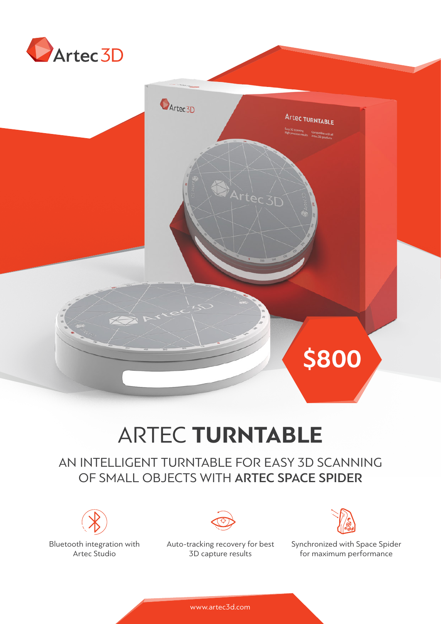

# ARTEC **TURNTABLE**

Artec 3D

**D**Artec<sub>3D</sub>

## AN INTELLIGENT TURNTABLE FOR EASY 3D SCANNING OF SMALL OBJECTS WITH ARTEC SPACE SPIDER



Bluetooth integration with Artec Studio

Auto-tracking recovery for best 3D capture results



**\$800**

Artec TURNTABLE

Synchronized with Space Spider for maximum performance

www.artec3d.com